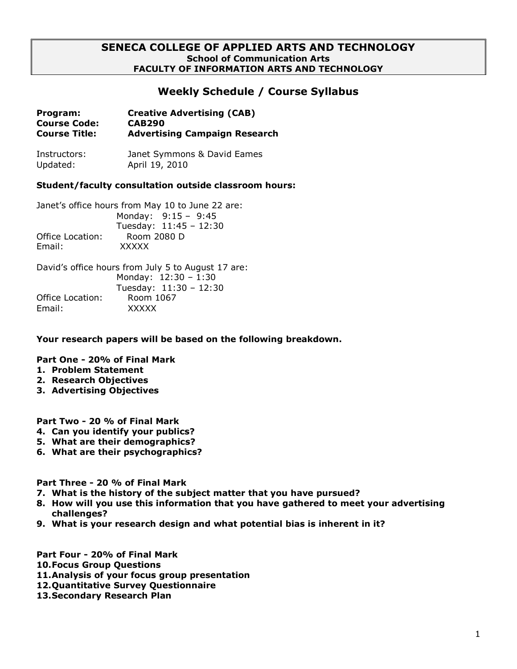## **SENECA COLLEGE OF APPLIED ARTS AND TECHNOLOGY School of Communication Arts FACULTY OF INFORMATION ARTS AND TECHNOLOGY**

# **Weekly Schedule / Course Syllabus**

| Program:             | <b>Creative Advertising (CAB)</b>    |
|----------------------|--------------------------------------|
| <b>Course Code:</b>  | <b>CAB290</b>                        |
| <b>Course Title:</b> | <b>Advertising Campaign Research</b> |

Instructors: Janet Symmons & David Eames Updated: April 19, 2010

## **Student/faculty consultation outside classroom hours:**

Janet's office hours from May 10 to June 22 are: Monday: 9:15 – 9:45 Tuesday: 11:45 – 12:30 Office Location: Room 2080 D Email: XXXXX

David's office hours from July 5 to August 17 are: Monday: 12:30 – 1:30 Tuesday: 11:30 – 12:30 Office Location: Room 1067 Email: XXXXX

**Your research papers will be based on the following breakdown.**

## **Part One - 20% of Final Mark**

- **1. Problem Statement**
- **2. Research Objectives**
- **3. Advertising Objectives**

## **Part Two - 20 % of Final Mark**

- **4. Can you identify your publics?**
- **5. What are their demographics?**
- **6. What are their psychographics?**

**Part Three - 20 % of Final Mark**

- **7. What is the history of the subject matter that you have pursued?**
- **8. How will you use this information that you have gathered to meet your advertising challenges?**
- **9. What is your research design and what potential bias is inherent in it?**
- **Part Four - 20% of Final Mark**
- **10.Focus Group Questions**
- **11.Analysis of your focus group presentation**
- **12.Quantitative Survey Questionnaire**
- **13.Secondary Research Plan**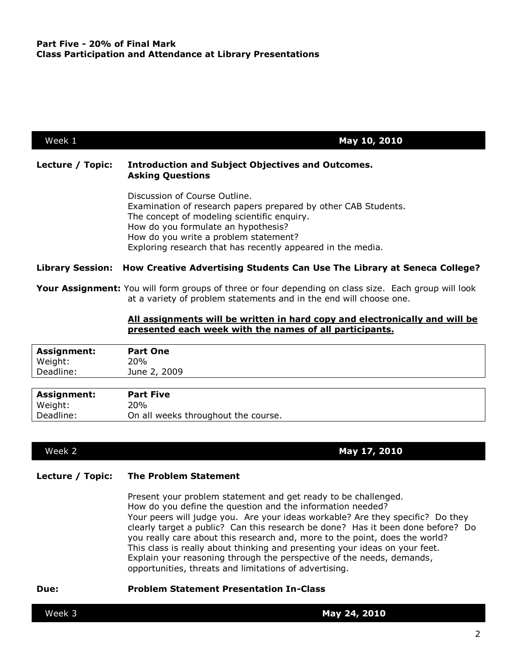| Week 1           | May 10, 2010                                                                                                                                                                                                                                                                                  |  |
|------------------|-----------------------------------------------------------------------------------------------------------------------------------------------------------------------------------------------------------------------------------------------------------------------------------------------|--|
| Lecture / Topic: | <b>Introduction and Subject Objectives and Outcomes.</b><br><b>Asking Questions</b>                                                                                                                                                                                                           |  |
|                  | Discussion of Course Outline.<br>Examination of research papers prepared by other CAB Students.<br>The concept of modeling scientific enquiry.<br>How do you formulate an hypothesis?<br>How do you write a problem statement?<br>Exploring research that has recently appeared in the media. |  |
|                  | Library Session: How Creative Advertising Students Can Use The Library at Seneca College?                                                                                                                                                                                                     |  |
|                  | <b>Your Assignment:</b> You will form groups of three or four depending on class size. Each group will look<br>at a variety of problem statements and in the end will choose one.                                                                                                             |  |
|                  | All assignments will be written in hard copy and electronically and will be<br>presented each week with the names of all participants.                                                                                                                                                        |  |
| Assignment:      | <b>Part One</b>                                                                                                                                                                                                                                                                               |  |

| Weight:            | 20%              |
|--------------------|------------------|
| Deadline:          | June 2, 2009     |
|                    |                  |
|                    |                  |
| <b>Assignment:</b> | <b>Part Five</b> |
| Weight:            | 20%              |

Week 2 **May 17, 2010**

## **Lecture / Topic: The Problem Statement**

Present your problem statement and get ready to be challenged. How do you define the question and the information needed? Your peers will judge you. Are your ideas workable? Are they specific? Do they clearly target a public? Can this research be done? Has it been done before? Do you really care about this research and, more to the point, does the world? This class is really about thinking and presenting your ideas on your feet. Explain your reasoning through the perspective of the needs, demands, opportunities, threats and limitations of advertising.

### **Due: Problem Statement Presentation In-Class**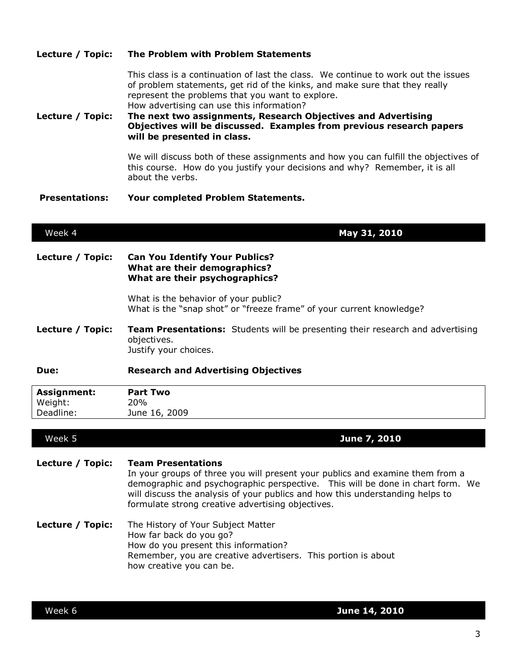| Lecture / Topic:                    | of problem statements, get rid of the kinks, and make sure that they really<br>represent the problems that you want to explore.<br>How advertising can use this information?<br>The next two assignments, Research Objectives and Advertising<br>Objectives will be discussed. Examples from previous research papers<br>will be presented in class. |  |
|-------------------------------------|------------------------------------------------------------------------------------------------------------------------------------------------------------------------------------------------------------------------------------------------------------------------------------------------------------------------------------------------------|--|
|                                     | We will discuss both of these assignments and how you can fulfill the objectives of<br>this course. How do you justify your decisions and why? Remember, it is all<br>about the verbs.                                                                                                                                                               |  |
| <b>Presentations:</b>               | Your completed Problem Statements.                                                                                                                                                                                                                                                                                                                   |  |
| Week 4                              | May 31, 2010                                                                                                                                                                                                                                                                                                                                         |  |
| Lecture / Topic:                    | <b>Can You Identify Your Publics?</b><br>What are their demographics?<br>What are their psychographics?                                                                                                                                                                                                                                              |  |
|                                     | What is the behavior of your public?<br>What is the "snap shot" or "freeze frame" of your current knowledge?                                                                                                                                                                                                                                         |  |
| Lecture / Topic:                    | Team Presentations: Students will be presenting their research and advertising<br>objectives.<br>Justify your choices.                                                                                                                                                                                                                               |  |
| Due:                                | <b>Research and Advertising Objectives</b>                                                                                                                                                                                                                                                                                                           |  |
| Assignment:<br>Weight:<br>Deadline: | <b>Part Two</b><br>20%<br>June 16, 2009                                                                                                                                                                                                                                                                                                              |  |
| Week 5                              | June 7, 2010                                                                                                                                                                                                                                                                                                                                         |  |
|                                     |                                                                                                                                                                                                                                                                                                                                                      |  |
| Lecture / Topic:                    | <b>Team Presentations</b><br>In your groups of three you will present your publics and examine them from a<br>demographic and psychographic perspective. This will be done in chart form. We<br>will discuss the analysis of your publics and how this understanding helps to<br>formulate strong creative advertising objectives.                   |  |
| Lecture / Topic:                    | The History of Your Subject Matter<br>How far back do you go?<br>How do you present this information?<br>Remember, you are creative advertisers. This portion is about<br>how creative you can be.                                                                                                                                                   |  |

This class is a continuation of last the class. We continue to work out the issues

**Lecture / Topic: The Problem with Problem Statements**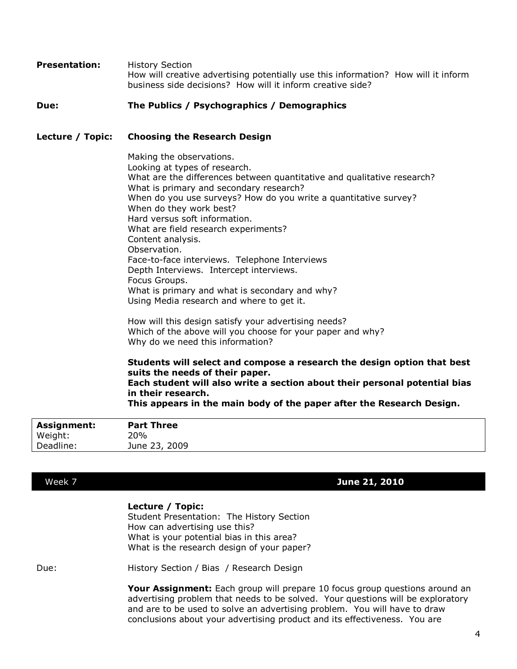**Presentation:** History Section How will creative advertising potentially use this information? How will it inform business side decisions? How will it inform creative side?

### **Due: The Publics / Psychographics / Demographics**

### **Lecture / Topic: Choosing the Research Design**

Making the observations. Looking at types of research. What are the differences between quantitative and qualitative research? What is primary and secondary research? When do you use surveys? How do you write a quantitative survey? When do they work best? Hard versus soft information. What are field research experiments? Content analysis. Observation. Face-to-face interviews. Telephone Interviews Depth Interviews. Intercept interviews. Focus Groups. What is primary and what is secondary and why? Using Media research and where to get it.

How will this design satisfy your advertising needs? Which of the above will you choose for your paper and why? Why do we need this information?

**Students will select and compose a research the design option that best suits the needs of their paper. Each student will also write a section about their personal potential bias in their research.**

**This appears in the main body of the paper after the Research Design.**

| <b>Assignment:</b> | <b>Part Three</b> |  |
|--------------------|-------------------|--|
| Weight:            | 20%               |  |
| Deadline:          | June 23, 2009     |  |

## Week 7 **June 21, 2010**

### **Lecture / Topic:**

Student Presentation: The History Section How can advertising use this? What is your potential bias in this area? What is the research design of your paper?

Due: History Section / Bias / Research Design

**Your Assignment:** Each group will prepare 10 focus group questions around an advertising problem that needs to be solved. Your questions will be exploratory and are to be used to solve an advertising problem. You will have to draw conclusions about your advertising product and its effectiveness. You are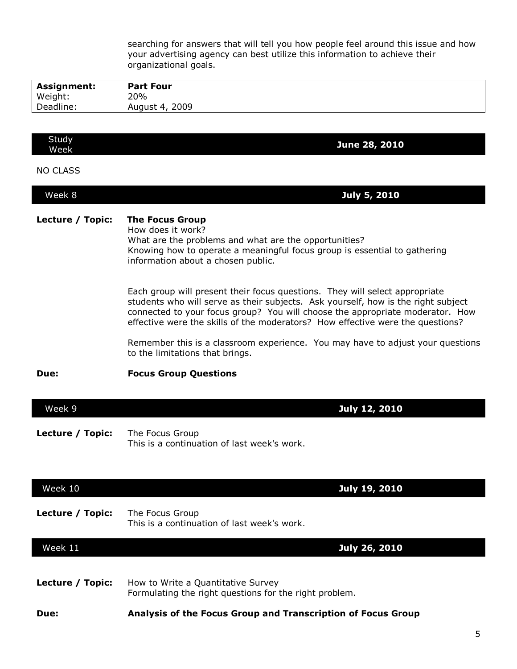searching for answers that will tell you how people feel around this issue and how your advertising agency can best utilize this information to achieve their organizational goals.

| <b>Assignment:</b> | <b>Part Four</b> |
|--------------------|------------------|
| Weight:            | 20%              |
| Deadline:          | August 4, 2009   |

| Study<br>Week | <b>June 28, 2010</b> |
|---------------|----------------------|
|               |                      |

NO CLASS

| Week 8<br><b>July 5, 2010</b> |
|-------------------------------|
|-------------------------------|

## **Lecture / Topic: The Focus Group**

How does it work? What are the problems and what are the opportunities? Knowing how to operate a meaningful focus group is essential to gathering information about a chosen public.

Each group will present their focus questions. They will select appropriate students who will serve as their subjects. Ask yourself, how is the right subject connected to your focus group? You will choose the appropriate moderator. How effective were the skills of the moderators? How effective were the questions?

Remember this is a classroom experience. You may have to adjust your questions to the limitations that brings.

**Due: Focus Group Questions**

| Week 9 |  | July 12, 2010 |
|--------|--|---------------|
|        |  |               |

**Lecture / Topic:** The Focus Group This is a continuation of last week's work.

| Week 10          | July 19, 2010                                                                                |
|------------------|----------------------------------------------------------------------------------------------|
| Lecture / Topic: | The Focus Group<br>This is a continuation of last week's work.                               |
| Week 11          | July 26, 2010                                                                                |
| Lecture / Topic: | How to Write a Quantitative Survey<br>Formulating the right questions for the right problem. |
| Due:             | Analysis of the Focus Group and Transcription of Focus Group                                 |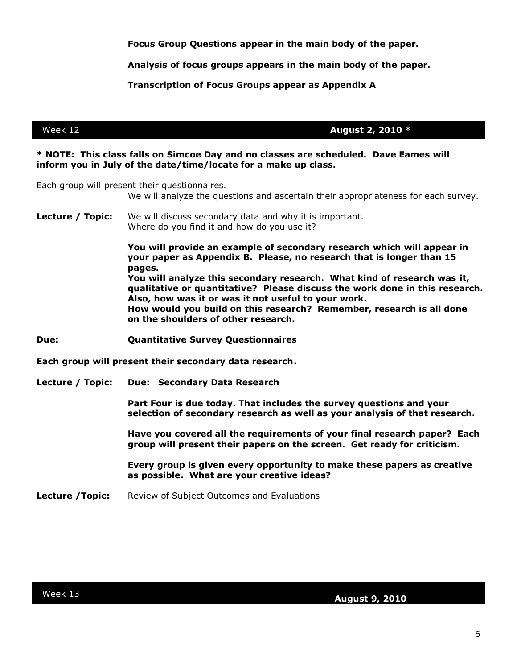**Focus Group Questions appear in the main body of the paper.**

**Analysis of focus groups appears in the main body of the paper.**

**Transcription of Focus Groups appear as Appendix A**

Week 12 **August 2, 2010 \***

### **\* NOTE: This class falls on Simcoe Day and no classes are scheduled. Dave Eames will inform you in July of the date/time/locate for a make up class.**

Each group will present their questionnaires.

We will analyze the questions and ascertain their appropriateness for each survey.

**Lecture / Topic:** We will discuss secondary data and why it is important. Where do you find it and how do you use it?

> **You will provide an example of secondary research which will appear in your paper as Appendix B. Please, no research that is longer than 15 pages.**

**You will analyze this secondary research. What kind of research was it, qualitative or quantitative? Please discuss the work done in this research. Also, how was it or was it not useful to your work. How would you build on this research? Remember, research is all done on the shoulders of other research.**

**Due: Quantitative Survey Questionnaires**

**Each group will present their secondary data research.** 

**Lecture / Topic: Due: Secondary Data Research**

**Part Four is due today. That includes the survey questions and your selection of secondary research as well as your analysis of that research.**

**Have you covered all the requirements of your final research paper? Each group will present their papers on the screen. Get ready for criticism.** 

**Every group is given every opportunity to make these papers as creative as possible. What are your creative ideas?** 

**Lecture / Topic:** Review of Subject Outcomes and Evaluations